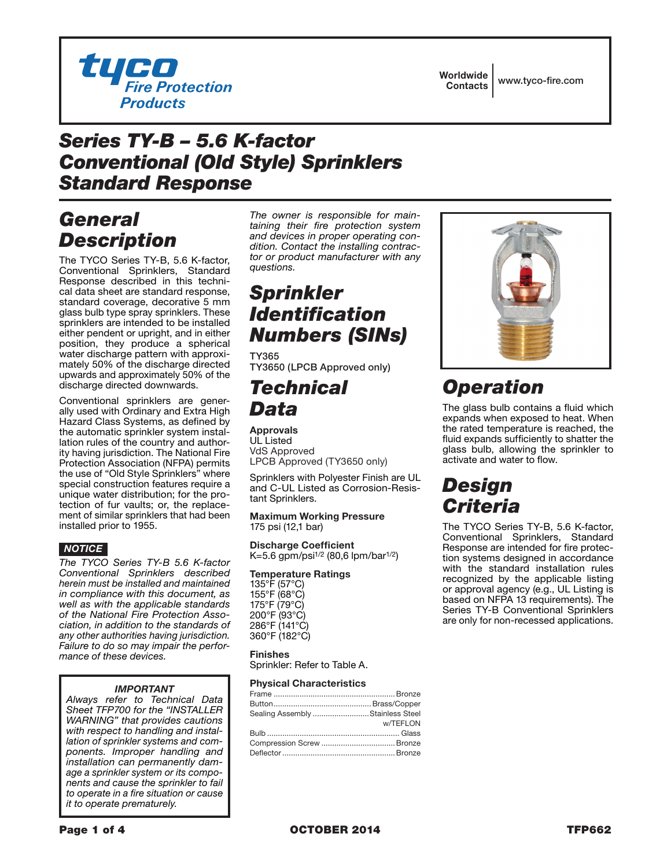

Worldwide Contacts www.tyco-fire.com

## *Series TY-B – 5.6 K-factor Conventional (Old Style) Sprinklers Standard Response*

## *General Description*

The TYCO Series TY-B, 5.6 K-factor, Conventional Sprinklers, Standard Response described in this technical data sheet are standard response, standard coverage, decorative 5 mm glass bulb type spray sprinklers. These sprinklers are intended to be installed either pendent or upright, and in either position, they produce a spherical water discharge pattern with approximately 50% of the discharge directed upwards and approximately 50% of the discharge directed downwards.

Conventional sprinklers are generally used with Ordinary and Extra High Hazard Class Systems, as defined by the automatic sprinkler system installation rules of the country and authority having jurisdiction. The National Fire Protection Association (NFPA) permits the use of "Old Style Sprinklers" where special construction features require a unique water distribution; for the protection of fur vaults; or, the replacement of similar sprinklers that had been installed prior to 1955.

### *NOTICE*

*The TYCO Series TY-B 5.6 K-factor Conventional Sprinklers described herein must be installed and maintained in compliance with this document, as well as with the applicable standards of the National Fire Protection Association, in addition to the standards of any other authorities having jurisdiction. Failure to do so may impair the performance of these devices.*

### *IMPORTANT*

*Always refer to Technical Data Sheet TFP700 for the "INSTALLER WARNING" that provides cautions with respect to handling and installation of sprinkler systems and components. Improper handling and installation can permanently damage a sprinkler system or its components and cause the sprinkler to fail to operate in a fire situation or cause it to operate prematurely.*

*The owner is responsible for maintaining their fire protection system and devices in proper operating condition. Contact the installing contractor or product manufacturer with any questions.*

# *Sprinkler Identification Numbers (SINs)*

TY365 TY3650 (LPCB Approved only)

## *Technical Data*

Approvals UL Listed VdS Approved LPCB Approved (TY3650 only)

Sprinklers with Polyester Finish are UL and C-UL Listed as Corrosion-Resistant Sprinklers.

Maximum Working Pressure 175 psi (12,1 bar)

Discharge Coefficient K=5.6 gpm/psi1/2 (80,6 lpm/bar1/2)

#### Temperature Ratings

135°F (57°C) 155°F (68°C) 175°F (79°C) 200°F (93°C) 286°F (141°C) 360°F (182°C)

#### Finishes

Sprinkler: Refer to Table A.

#### Physical Characteristics

| Sealing Assembly Stainless Steel |          |
|----------------------------------|----------|
|                                  | w/TEFLON |
|                                  |          |
|                                  |          |
|                                  |          |
|                                  |          |



# *Operation*

The glass bulb contains a fluid which expands when exposed to heat. When the rated temperature is reached, the fluid expands sufficiently to shatter the glass bulb, allowing the sprinkler to activate and water to flow.

# *Design Criteria*

The TYCO Series TY-B, 5.6 K-factor, Conventional Sprinklers, Standard Response are intended for fire protection systems designed in accordance with the standard installation rules recognized by the applicable listing or approval agency (e.g., UL Listing is based on NFPA 13 requirements). The Series TY-B Conventional Sprinklers are only for non-recessed applications.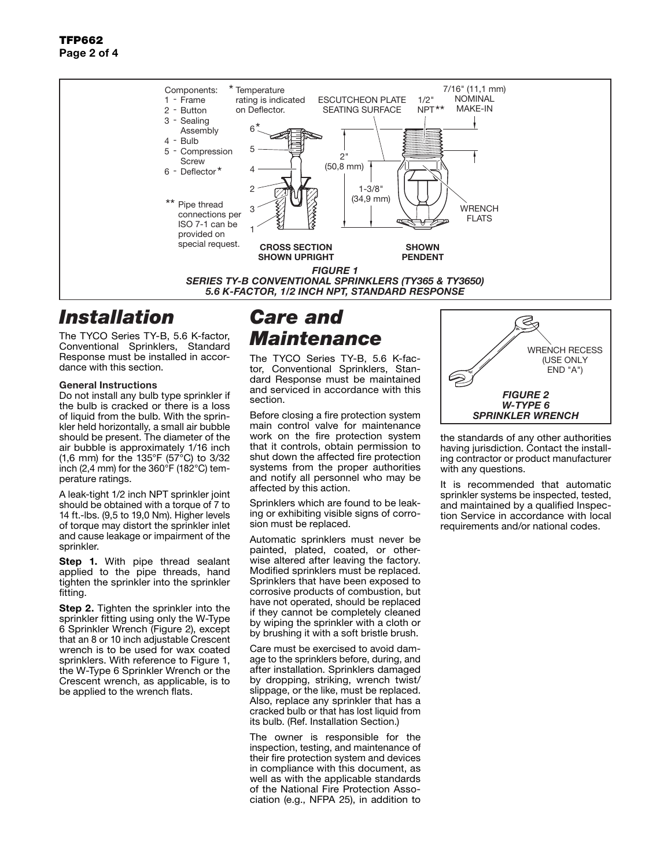### TFP662 Page 2 of 4



## *Installation*

The TYCO Series TY-B, 5.6 K-factor, Conventional Sprinklers, Standard Response must be installed in accordance with this section.

#### General Instructions

Do not install any bulb type sprinkler if the bulb is cracked or there is a loss of liquid from the bulb. With the sprinkler held horizontally, a small air bubble should be present. The diameter of the air bubble is approximately 1/16 inch (1,6 mm) for the 135°F (57°C) to 3/32 inch (2,4 mm) for the  $360^{\circ}$ F (182 $^{\circ}$ C) temperature ratings.

A leak-tight 1/2 inch NPT sprinkler joint should be obtained with a torque of 7 to 14 ft.-lbs. (9,5 to 19,0 Nm). Higher levels of torque may distort the sprinkler inlet and cause leakage or impairment of the sprinkler.

Step 1. With pipe thread sealant applied to the pipe threads, hand tighten the sprinkler into the sprinkler fitting.

Step 2. Tighten the sprinkler into the sprinkler fitting using only the W-Type 6 Sprinkler Wrench (Figure 2), except that an 8 or 10 inch adjustable Crescent wrench is to be used for wax coated sprinklers. With reference to Figure 1, the W-Type 6 Sprinkler Wrench or the Crescent wrench, as applicable, is to be applied to the wrench flats.

# *Care and Maintenance*

The TYCO Series TY-B, 5.6 K-factor, Conventional Sprinklers, Standard Response must be maintained and serviced in accordance with this section.

Before closing a fire protection system main control valve for maintenance work on the fire protection system that it controls, obtain permission to shut down the affected fire protection systems from the proper authorities and notify all personnel who may be affected by this action.

Sprinklers which are found to be leaking or exhibiting visible signs of corrosion must be replaced.

Automatic sprinklers must never be painted, plated, coated, or otherwise altered after leaving the factory. Modified sprinklers must be replaced. Sprinklers that have been exposed to corrosive products of combustion, but have not operated, should be replaced if they cannot be completely cleaned by wiping the sprinkler with a cloth or by brushing it with a soft bristle brush.

Care must be exercised to avoid damage to the sprinklers before, during, and after installation. Sprinklers damaged by dropping, striking, wrench twist/ slippage, or the like, must be replaced. Also, replace any sprinkler that has a cracked bulb or that has lost liquid from its bulb. (Ref. Installation Section.)

The owner is responsible for the inspection, testing, and maintenance of their fire protection system and devices in compliance with this document, as well as with the applicable standards of the National Fire Protection Association (e.g., NFPA 25), in addition to

Z WRENCH RECESS (USE ONLY END "A") *FIGURE 2 W-TYPE 6 SPRINKLER WRENCH*

the standards of any other authorities having jurisdiction. Contact the installing contractor or product manufacturer with any questions.

It is recommended that automatic sprinkler systems be inspected, tested, and maintained by a qualified Inspection Service in accordance with local requirements and/or national codes.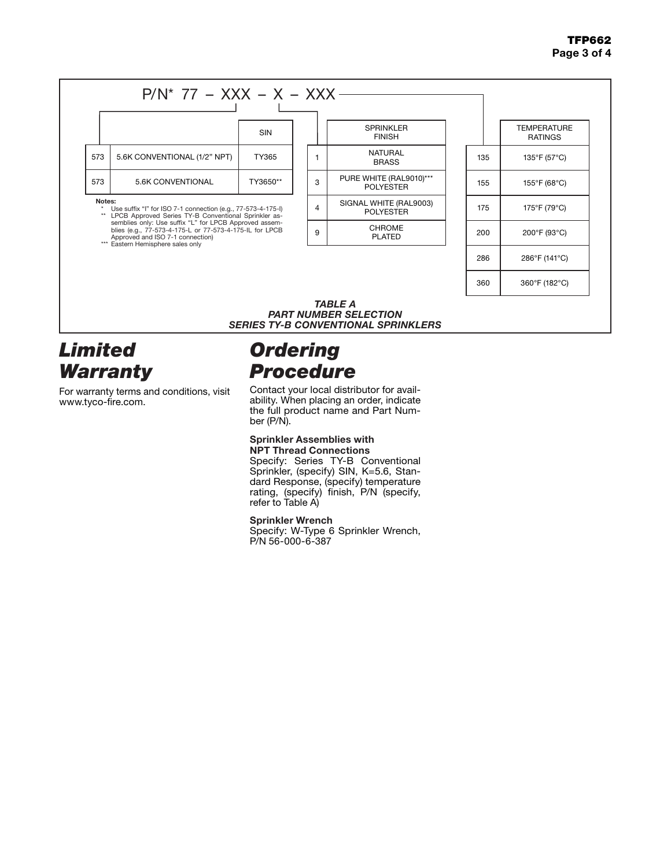### TFP662 Page 3 of 4



## *Limited Warranty*

For warranty terms and conditions, visit www.tyco-fire.com.

# *Ordering Procedure*

Contact your local distributor for availability. When placing an order, indicate the full product name and Part Number (P/N).

#### Sprinkler Assemblies with NPT Thread Connections

Specify: Series TY-B Conventional Sprinkler, (specify) SIN, K=5.6, Standard Response, (specify) temperature rating, (specify) finish, P/N (specify, refer to Table A)

### Sprinkler Wrench

Specify: W-Type 6 Sprinkler Wrench, P/N 56-000-6-387